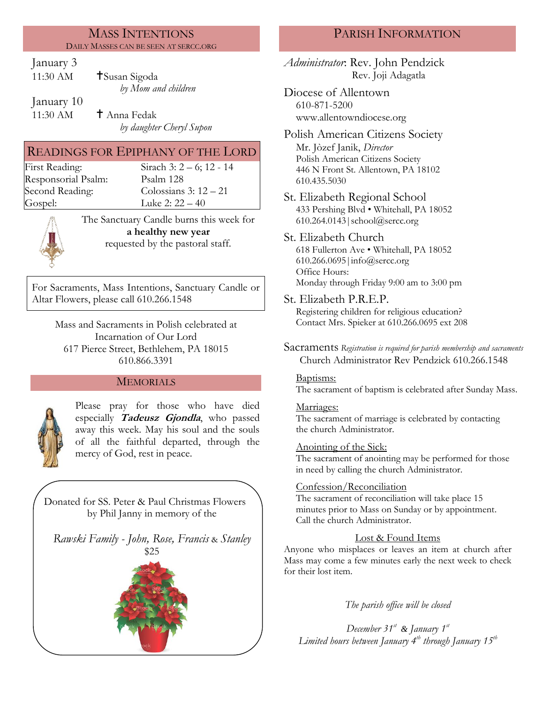### MASS INTENTIONS DAILY MASSES CAN BE SEEN AT SERCC.ORG

## January 3

| 11:30 AM   | <b>†</b> Susan Sigoda |
|------------|-----------------------|
|            | by Mom and children   |
| January 10 |                       |

11:30 AM  $\qquad$  † Anna Fedak *by daughter Cheryl Supon*

# READINGS FOR EPIPHANY OF THE LORD

Responsorial Psalm: [Psalm](http://www.usccb.org/bible/readings/bible/psalms/25:4) 128 Gospel: Luke 2: 22 – 40

First Reading: Sirach 3: 2 – 6; 12 - 14 Second Reading: Colossians 3: 12 – 21



The Sanctuary Candle burns this week for **a healthy new year** requested by the pastoral staff*.*

For Sacraments, Mass Intentions, Sanctuary Candle or Altar Flowers, please call 610.266.1548

> Mass and Sacraments in Polish celebrated at Incarnation of Our Lord 617 Pierce Street, Bethlehem, PA 18015 610.866.3391

## MEMORIALS



Please pray for those who have died especially **Tadeusz Gjondla**, who passed away this week. May his soul and the souls of all the faithful departed, through the mercy of God, rest in peace.

Donated for SS. Peter & Paul Christmas Flowers by Phil Janny in memory of the

*Rawski Family - John, Rose, Francis* & *Stanley* \$25



## PARISH INFORMATION

*Administrator*: Rev. John Pendzick Rev. Joji Adagatla

Diocese of Allentown 610-871-5200 www.allentowndiocese.org

Polish American Citizens Society Mr. Jòzef Janik, *Director* Polish American Citizens Society 446 N Front St. Allentown, PA 18102 610.435.5030

St. Elizabeth Regional School 433 Pershing Blvd • Whitehall, PA 18052 610.264.0143|school@sercc.org

#### St. Elizabeth Church 618 Fullerton Ave • Whitehall, PA 18052 610.266.0695|info@sercc.org

Office Hours: Monday through Friday 9:00 am to 3:00 pm

St. Elizabeth P.R.E.P.

Registering children for religious education? Contact Mrs. Spieker at 610.266.0695 ext 208

Sacraments *Registration is required for parish membership and sacraments* Church Administrator Rev Pendzick 610.266.1548

## Baptisms:

The sacrament of baptism is celebrated after Sunday Mass.

## Marriages:

The sacrament of marriage is celebrated by contacting the church Administrator.

## Anointing of the Sick:

The sacrament of anointing may be performed for those in need by calling the church Administrator.

## Confession/Reconciliation

The sacrament of reconciliation will take place 15 minutes prior to Mass on Sunday or by appointment. Call the church Administrator.

## Lost & Found Items

Anyone who misplaces or leaves an item at church after Mass may come a few minutes early the next week to check for their lost item.

*The parish office will be closed*

*December 31st & January 1st Limited hours between January 4th through January 15th*